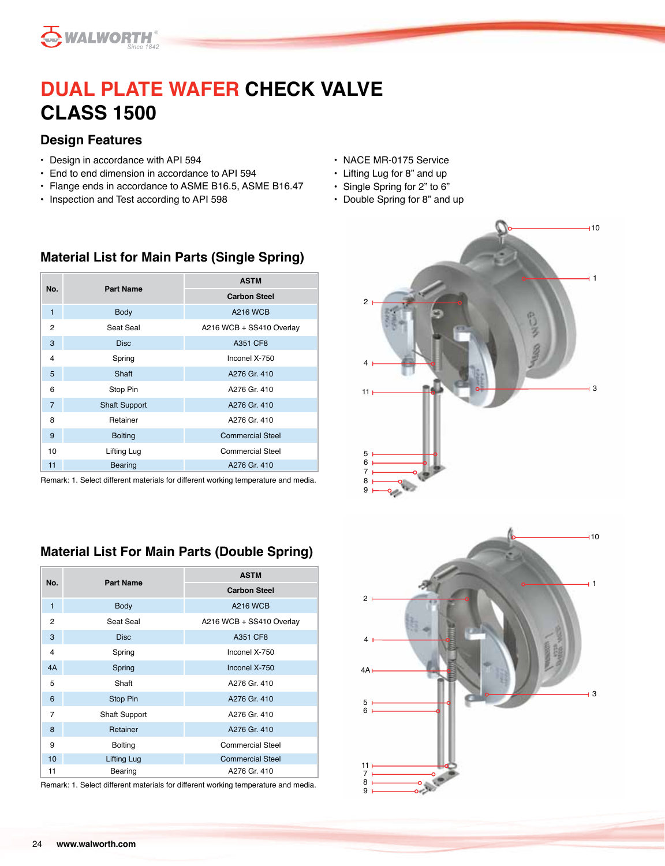

# **DUAL PLATE WAFER CHECK VALVE CLASS 1500**

#### **Design Features**

- Design in accordance with API 594
- End to end dimension in accordance to API 594
- Flange ends in accordance to ASME B16.5, ASME B16.47

**Material List for Main Parts (Single Spring)** 

• Inspection and Test according to API 598

- NACE MR-0175 Service
- Lifting Lug for 8" and up
- Single Spring for 2" to 6"
- Double Spring for 8" and up

| No.            | <b>Part Name</b>     | <b>ASTM</b>              |  |  |  |  |
|----------------|----------------------|--------------------------|--|--|--|--|
|                |                      | <b>Carbon Steel</b>      |  |  |  |  |
| 1              | <b>Body</b>          | <b>A216 WCB</b>          |  |  |  |  |
| 2              | Seat Seal            | A216 WCB + SS410 Overlay |  |  |  |  |
| 3              | <b>Disc</b>          | A351 CF8                 |  |  |  |  |
| 4              | Spring               | Inconel X-750            |  |  |  |  |
| 5              | Shaft                | A276 Gr. 410             |  |  |  |  |
| 6              | Stop Pin             | A276 Gr. 410             |  |  |  |  |
| $\overline{7}$ | <b>Shaft Support</b> | A276 Gr. 410             |  |  |  |  |
| 8              | Retainer             | A276 Gr. 410             |  |  |  |  |
| 9              | <b>Bolting</b>       | <b>Commercial Steel</b>  |  |  |  |  |
| 10             | Lifting Lug          | <b>Commercial Steel</b>  |  |  |  |  |
| 11             | Bearing              | A276 Gr. 410             |  |  |  |  |

Remark: 1. Select different materials for different working temperature and media.

### **Material List For Main Parts (Double Spring)**

| No.            | <b>Part Name</b>     | <b>ASTM</b>              |  |  |  |  |
|----------------|----------------------|--------------------------|--|--|--|--|
|                |                      | <b>Carbon Steel</b>      |  |  |  |  |
| 1              | Body                 | <b>A216 WCB</b>          |  |  |  |  |
| $\overline{2}$ | Seat Seal            | A216 WCB + SS410 Overlay |  |  |  |  |
| 3              | <b>Disc</b>          | A351 CF8                 |  |  |  |  |
| 4              | Spring               | Inconel X-750            |  |  |  |  |
| 4A             | Spring               | Inconel X-750            |  |  |  |  |
| 5              | Shaft                | A276 Gr. 410             |  |  |  |  |
| 6              | Stop Pin             | A276 Gr. 410             |  |  |  |  |
| $\overline{7}$ | <b>Shaft Support</b> | A276 Gr. 410             |  |  |  |  |
| 8              | Retainer             | A276 Gr. 410             |  |  |  |  |
| 9              | <b>Bolting</b>       | <b>Commercial Steel</b>  |  |  |  |  |
| 10             | Lifting Lug          | <b>Commercial Steel</b>  |  |  |  |  |
| 11             | Bearing              | A276 Gr. 410             |  |  |  |  |

Remark: 1. Select different materials for different working temperature and media.